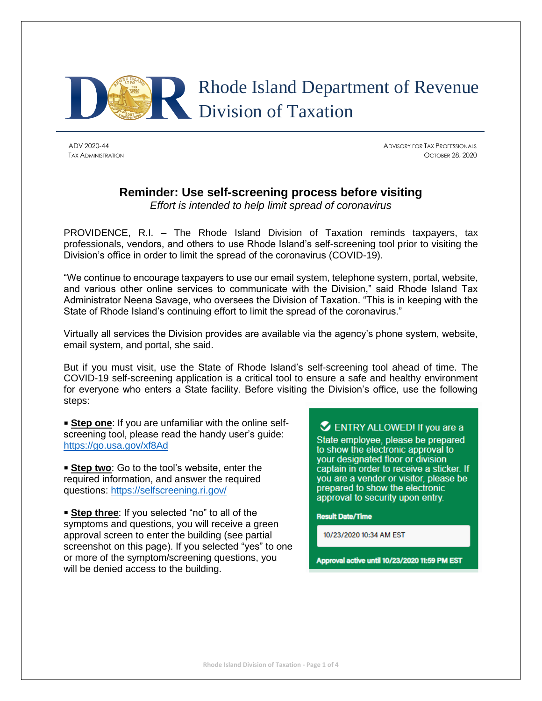

ADV 2020-44 ADVISORY FOR TAX PROFESSIONALS TAX ADMINISTRATION OCTOBER 28, 2020

# **Reminder: Use self-screening process before visiting**

*Effort is intended to help limit spread of coronavirus*

PROVIDENCE, R.I. – The Rhode Island Division of Taxation reminds taxpayers, tax professionals, vendors, and others to use Rhode Island's self-screening tool prior to visiting the Division's office in order to limit the spread of the coronavirus (COVID-19).

"We continue to encourage taxpayers to use our email system, telephone system, portal, website, and various other online services to communicate with the Division," said Rhode Island Tax Administrator Neena Savage, who oversees the Division of Taxation. "This is in keeping with the State of Rhode Island's continuing effort to limit the spread of the coronavirus."

Virtually all services the Division provides are available via the agency's phone system, website, email system, and portal, she said.

But if you must visit, use the State of Rhode Island's self-screening tool ahead of time. The COVID-19 self-screening application is a critical tool to ensure a safe and healthy environment for everyone who enters a State facility. Before visiting the Division's office, use the following steps:

**Step one**: If you are unfamiliar with the online selfscreening tool, please read the handy user's guide: <https://go.usa.gov/xf8Ad>

**Step two**: Go to the tool's website, enter the required information, and answer the required questions: <https://selfscreening.ri.gov/>

**Example 1** Step three: If you selected "no" to all of the symptoms and questions, you will receive a green approval screen to enter the building (see partial screenshot on this page). If you selected "yes" to one or more of the symptom/screening questions, you will be denied access to the building.

ENTRY ALLOWED! If you are a State employee, please be prepared to show the electronic approval to your designated floor or division captain in order to receive a sticker. If you are a vendor or visitor, please be prepared to show the electronic approval to security upon entry.

**Result Date/Time** 

10/23/2020 10:34 AM EST

Approval active until 10/23/2020 11:59 PM EST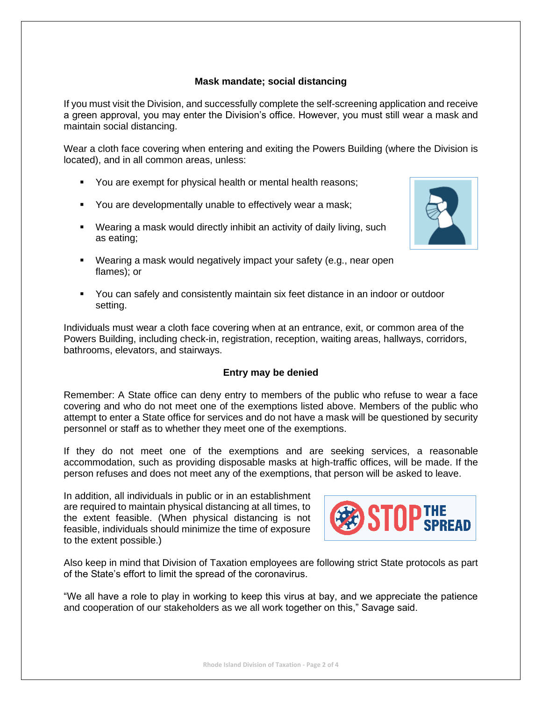# **Mask mandate; social distancing**

If you must visit the Division, and successfully complete the self-screening application and receive a green approval, you may enter the Division's office. However, you must still wear a mask and maintain social distancing.

Wear a cloth face covering when entering and exiting the Powers Building (where the Division is located), and in all common areas, unless:

- You are exempt for physical health or mental health reasons;
- You are developmentally unable to effectively wear a mask;
- Wearing a mask would directly inhibit an activity of daily living, such as eating;
- 
- Wearing a mask would negatively impact your safety (e.g., near open flames); or
- You can safely and consistently maintain six feet distance in an indoor or outdoor setting.

Individuals must wear a cloth face covering when at an entrance, exit, or common area of the Powers Building, including check-in, registration, reception, waiting areas, hallways, corridors, bathrooms, elevators, and stairways.

## **Entry may be denied**

Remember: A State office can deny entry to members of the public who refuse to wear a face covering and who do not meet one of the exemptions listed above. Members of the public who attempt to enter a State office for services and do not have a mask will be questioned by security personnel or staff as to whether they meet one of the exemptions.

If they do not meet one of the exemptions and are seeking services, a reasonable accommodation, such as providing disposable masks at high-traffic offices, will be made. If the person refuses and does not meet any of the exemptions, that person will be asked to leave.

In addition, all individuals in public or in an establishment are required to maintain physical distancing at all times, to the extent feasible. (When physical distancing is not feasible, individuals should minimize the time of exposure to the extent possible.)



Also keep in mind that Division of Taxation employees are following strict State protocols as part of the State's effort to limit the spread of the coronavirus.

"We all have a role to play in working to keep this virus at bay, and we appreciate the patience and cooperation of our stakeholders as we all work together on this," Savage said.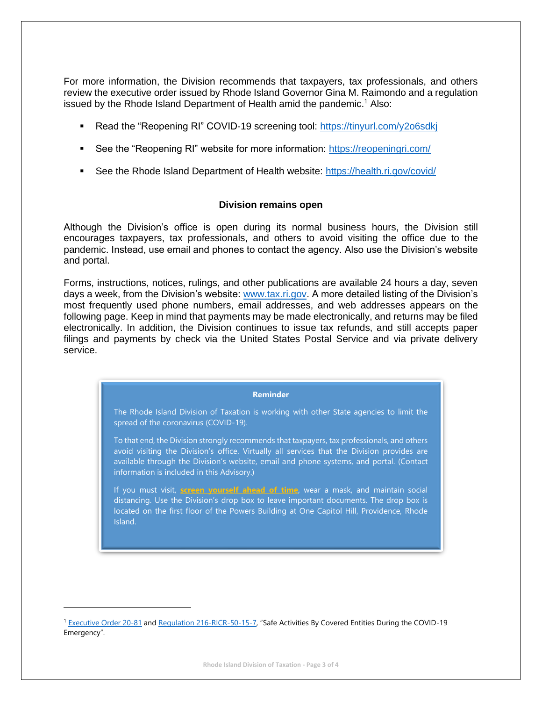For more information, the Division recommends that taxpayers, tax professionals, and others review the executive order issued by Rhode Island Governor Gina M. Raimondo and a regulation issued by the Rhode Island Department of Health amid the pandemic.<sup>1</sup> Also:

- Read the "Reopening RI" COVID-19 screening tool: https://tinyurl.com/y2o6sdki
- See the "Reopening RI" website for more information:<https://reopeningri.com/>
- See the Rhode Island Department of Health website:<https://health.ri.gov/covid/>

## **Division remains open**

Although the Division's office is open during its normal business hours, the Division still encourages taxpayers, tax professionals, and others to avoid visiting the office due to the pandemic. Instead, use email and phones to contact the agency. Also use the Division's website and portal.

Forms, instructions, notices, rulings, and other publications are available 24 hours a day, seven days a week, from the Division's website: [www.tax.ri.gov.](http://www.tax.ri.gov/) A more detailed listing of the Division's most frequently used phone numbers, email addresses, and web addresses appears on the following page. Keep in mind that payments may be made electronically, and returns may be filed electronically. In addition, the Division continues to issue tax refunds, and still accepts paper filings and payments by check via the United States Postal Service and via private delivery service.

#### **Reminder**

The Rhode Island Division of Taxation is working with other State agencies to limit the spread of the coronavirus (COVID-19).

To that end, the Division strongly recommends that taxpayers, tax professionals, and others avoid visiting the Division's office. Virtually all services that the Division provides are available through the Division's website, email and phone systems, and portal. (Contact information is included in this Advisory.)

If you must visit, **[screen yourself ahead of time](https://selfscreening.ri.gov/)**, wear a mask, and maintain social distancing. Use the Division's drop box to leave important documents. The drop box is located on the first floor of the Powers Building at One Capitol Hill, Providence, Rhode Island.

<sup>&</sup>lt;sup>1</sup> [Executive Order 20-81](https://governor.ri.gov/documents/orders/Executive-Order-20-81.pdf) and [Regulation 216-RICR-50-15-7](https://risos-apa-production-public.s3.amazonaws.com/DOH/REG_11139_20200708145414.pdf), "Safe Activities By Covered Entities During the COVID-19 Emergency".